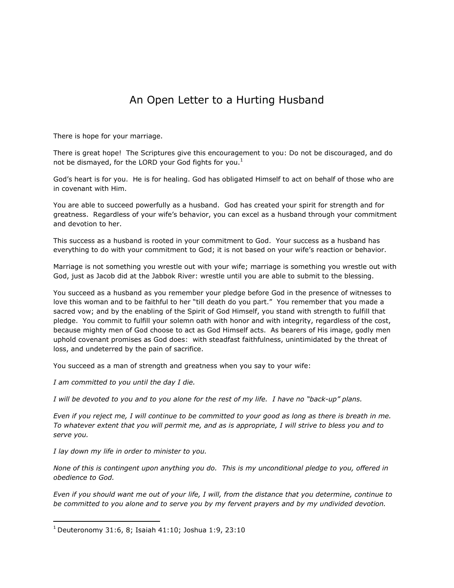## An Open Letter to a Hurting Husband

There is hope for your marriage.

There is great hope! The Scriptures give this encouragement to you: Do not be discouraged, and do not be dismayed, for the LORD your God fights for you.<sup>1</sup>

God's heart is for you. He is for healing. God has obligated Himself to act on behalf of those who are in covenant with Him.

You are able to succeed powerfully as a husband. God has created your spirit for strength and for greatness. Regardless of your wife's behavior, you can excel as a husband through your commitment and devotion to her.

This success as a husband is rooted in your commitment to God. Your success as a husband has everything to do with your commitment to God; it is not based on your wife's reaction or behavior.

Marriage is not something you wrestle out with your wife; marriage is something you wrestle out with God, just as Jacob did at the Jabbok River: wrestle until you are able to submit to the blessing.

You succeed as a husband as you remember your pledge before God in the presence of witnesses to love this woman and to be faithful to her "till death do you part." You remember that you made a sacred vow; and by the enabling of the Spirit of God Himself, you stand with strength to fulfill that pledge. You commit to fulfill your solemn oath with honor and with integrity, regardless of the cost, because mighty men of God choose to act as God Himself acts. As bearers of His image, godly men uphold covenant promises as God does: with steadfast faithfulness, unintimidated by the threat of loss, and undeterred by the pain of sacrifice.

You succeed as a man of strength and greatness when you say to your wife:

*I am committed to you until the day I die.*

*I will be devoted to you and to you alone for the rest of my life. I have no "back-up" plans.*

*Even if you reject me, I will continue to be committed to your good as long as there is breath in me. To whatever extent that you will permit me, and as is appropriate, I will strive to bless you and to serve you.*

*I lay down my life in order to minister to you.*

 $\overline{\phantom{a}}$ 

*None of this is contingent upon anything you do. This is my unconditional pledge to you, offered in obedience to God.*

*Even if you should want me out of your life, I will, from the distance that you determine, continue to be committed to you alone and to serve you by my fervent prayers and by my undivided devotion.* 

 $1$  Deuteronomy 31:6, 8; Isaiah 41:10; Joshua 1:9, 23:10